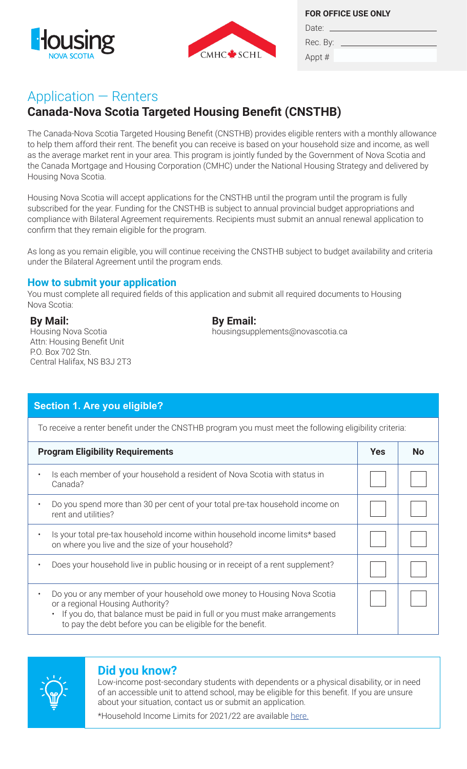



**FOR OFFICE USE ONLY**

Rec. By:  $-$ 

Date:

## Appt #

# Application — Renters

# **Canada-Nova Scotia Targeted Housing Benefit (CNSTHB)**

The Canada-Nova Scotia Targeted Housing Benefit (CNSTHB) provides eligible renters with a monthly allowance to help them afford their rent. The benefit you can receive is based on your household size and income, as well as the average market rent in your area. This program is jointly funded by the Government of Nova Scotia and the Canada Mortgage and Housing Corporation (CMHC) under the National Housing Strategy and delivered by Housing Nova Scotia.

Housing Nova Scotia will accept applications for the CNSTHB until the program until the program is fully subscribed for the year. Funding for the CNSTHB is subject to annual provincial budget appropriations and compliance with Bilateral Agreement requirements. Recipients must submit an annual renewal application to confirm that they remain eligible for the program.

As long as you remain eligible, you will continue receiving the CNSTHB subject to budget availability and criteria under the Bilateral Agreement until the program ends.

## **How to submit your application**

You must complete all required fields of this application and submit all required documents to Housing Nova Scotia:

## **By Mail:**

Housing Nova Scotia Attn: Housing Benefit Unit P.O. Box 702 Stn. Central Halifax, NS B3J 2T3

## **By Email:**

housingsupplements@novascotia.ca

| Section 1. Are you eligible?                                                                                                                                                                                                                             |            |           |  |  |
|----------------------------------------------------------------------------------------------------------------------------------------------------------------------------------------------------------------------------------------------------------|------------|-----------|--|--|
| To receive a renter benefit under the CNSTHB program you must meet the following eligibility criteria:                                                                                                                                                   |            |           |  |  |
| <b>Program Eligibility Requirements</b>                                                                                                                                                                                                                  | <b>Yes</b> | <b>No</b> |  |  |
| Is each member of your household a resident of Nova Scotia with status in<br>Canada?                                                                                                                                                                     |            |           |  |  |
| Do you spend more than 30 per cent of your total pre-tax household income on<br>rent and utilities?                                                                                                                                                      |            |           |  |  |
| Is your total pre-tax household income within household income limits* based<br>on where you live and the size of your household?                                                                                                                        |            |           |  |  |
| Does your household live in public housing or in receipt of a rent supplement?                                                                                                                                                                           |            |           |  |  |
| Do you or any member of your household owe money to Housing Nova Scotia<br>or a regional Housing Authority?<br>If you do, that balance must be paid in full or you must make arrangements<br>to pay the debt before you can be eligible for the benefit. |            |           |  |  |



## **Did you know?**

Low-income post-secondary students with dependents or a physical disability, or in need of an accessible unit to attend school, may be eligible for this benefit. If you are unsure about your situation, contact us or submit an application. \*Household Income Limits for 2021/22 are available [here.](https://housing.novascotia.ca/sites/default/files/NS_HIL_2021.pdf)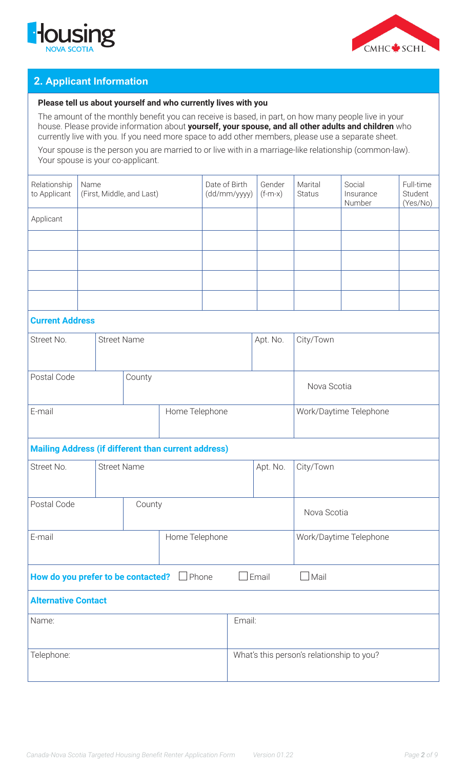



## **2. Applicant Information**

#### **Please tell us about yourself and who currently lives with you**

The amount of the monthly benefit you can receive is based, in part, on how many people live in your house. Please provide information about **yourself, your spouse, and all other adults and children** who currently live with you. If you need more space to add other members, please use a separate sheet.

Your spouse is the person you are married to or live with in a marriage-like relationship (common-law). Your spouse is your co-applicant.

| Relationship<br>to Applicant                               | Name | (First, Middle, and Last) |                | Date of Birth<br>(dd/mm/yyyy) | Gender<br>$(f-m-x)$                       | Marital<br><b>Status</b> | Social<br>Insurance<br>Number | Full-time<br>Student<br>(Yes/No) |  |
|------------------------------------------------------------|------|---------------------------|----------------|-------------------------------|-------------------------------------------|--------------------------|-------------------------------|----------------------------------|--|
| Applicant                                                  |      |                           |                |                               |                                           |                          |                               |                                  |  |
|                                                            |      |                           |                |                               |                                           |                          |                               |                                  |  |
|                                                            |      |                           |                |                               |                                           |                          |                               |                                  |  |
|                                                            |      |                           |                |                               |                                           |                          |                               |                                  |  |
|                                                            |      |                           |                |                               |                                           |                          |                               |                                  |  |
| <b>Current Address</b>                                     |      |                           |                |                               |                                           |                          |                               |                                  |  |
| Street No.                                                 |      | <b>Street Name</b>        |                |                               |                                           | Apt. No.                 | City/Town                     |                                  |  |
|                                                            |      |                           |                |                               |                                           |                          |                               |                                  |  |
| Postal Code                                                |      |                           | County         |                               |                                           |                          | Nova Scotia                   |                                  |  |
| E-mail                                                     |      |                           | Home Telephone |                               | Work/Daytime Telephone                    |                          |                               |                                  |  |
| <b>Mailing Address (if different than current address)</b> |      |                           |                |                               |                                           |                          |                               |                                  |  |
| Street No.                                                 |      | <b>Street Name</b>        |                |                               | Apt. No.                                  | City/Town                |                               |                                  |  |
| Postal Code<br>County                                      |      |                           |                |                               | Nova Scotia                               |                          |                               |                                  |  |
| Home Telephone<br>E-mail                                   |      |                           |                |                               | Work/Daytime Telephone                    |                          |                               |                                  |  |
| How do you prefer to be contacted? <b>Depart</b>           |      |                           |                | $\Box$ Email                  | $\Box$ Mail                               |                          |                               |                                  |  |
| <b>Alternative Contact</b>                                 |      |                           |                |                               |                                           |                          |                               |                                  |  |
| Name:                                                      |      |                           | Email:         |                               |                                           |                          |                               |                                  |  |
| Telephone:                                                 |      |                           |                |                               | What's this person's relationship to you? |                          |                               |                                  |  |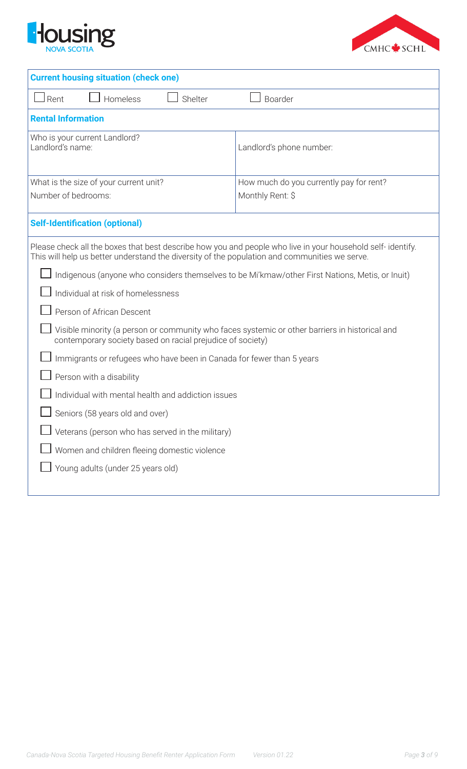



| <b>Current housing situation (check one)</b>                                                                                                                                                                |                                         |  |  |
|-------------------------------------------------------------------------------------------------------------------------------------------------------------------------------------------------------------|-----------------------------------------|--|--|
| Rent<br>Homeless<br>Shelter                                                                                                                                                                                 | Boarder                                 |  |  |
| <b>Rental Information</b>                                                                                                                                                                                   |                                         |  |  |
| Who is your current Landlord?<br>Landlord's name:                                                                                                                                                           | Landlord's phone number:                |  |  |
| What is the size of your current unit?                                                                                                                                                                      | How much do you currently pay for rent? |  |  |
| Number of bedrooms:                                                                                                                                                                                         | Monthly Rent: \$                        |  |  |
| <b>Self-Identification (optional)</b>                                                                                                                                                                       |                                         |  |  |
| Please check all the boxes that best describe how you and people who live in your household self-identify.<br>This will help us better understand the diversity of the population and communities we serve. |                                         |  |  |
| Indigenous (anyone who considers themselves to be Mi'kmaw/other First Nations, Metis, or Inuit)                                                                                                             |                                         |  |  |
| Individual at risk of homelessness                                                                                                                                                                          |                                         |  |  |
| Person of African Descent                                                                                                                                                                                   |                                         |  |  |
| Visible minority (a person or community who faces systemic or other barriers in historical and<br>contemporary society based on racial prejudice of society)                                                |                                         |  |  |
| Immigrants or refugees who have been in Canada for fewer than 5 years                                                                                                                                       |                                         |  |  |
| Person with a disability                                                                                                                                                                                    |                                         |  |  |
| Individual with mental health and addiction issues                                                                                                                                                          |                                         |  |  |
| $\Box$ Seniors (58 years old and over)                                                                                                                                                                      |                                         |  |  |
| Veterans (person who has served in the military)                                                                                                                                                            |                                         |  |  |
| Women and children fleeing domestic violence                                                                                                                                                                |                                         |  |  |
| Young adults (under 25 years old)                                                                                                                                                                           |                                         |  |  |
|                                                                                                                                                                                                             |                                         |  |  |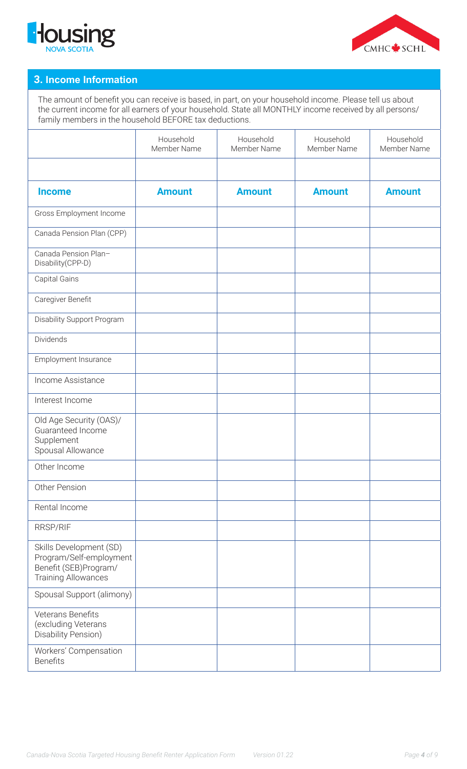



### **3. Income Information**

The amount of benefit you can receive is based, in part, on your household income. Please tell us about the current income for all earners of your household. State all MONTHLY income received by all persons/ family members in the household BEFORE tax deductions.

|                                                                                                           | Household<br>Member Name | Household<br>Member Name | Household<br>Member Name | Household<br>Member Name |
|-----------------------------------------------------------------------------------------------------------|--------------------------|--------------------------|--------------------------|--------------------------|
|                                                                                                           |                          |                          |                          |                          |
| <b>Income</b>                                                                                             | <b>Amount</b>            | <b>Amount</b>            | <b>Amount</b>            | <b>Amount</b>            |
| Gross Employment Income                                                                                   |                          |                          |                          |                          |
| Canada Pension Plan (CPP)                                                                                 |                          |                          |                          |                          |
| Canada Pension Plan-<br>Disability(CPP-D)                                                                 |                          |                          |                          |                          |
| Capital Gains                                                                                             |                          |                          |                          |                          |
| Caregiver Benefit                                                                                         |                          |                          |                          |                          |
| Disability Support Program                                                                                |                          |                          |                          |                          |
| Dividends                                                                                                 |                          |                          |                          |                          |
| Employment Insurance                                                                                      |                          |                          |                          |                          |
| Income Assistance                                                                                         |                          |                          |                          |                          |
| Interest Income                                                                                           |                          |                          |                          |                          |
| Old Age Security (OAS)/<br>Guaranteed Income<br>Supplement<br>Spousal Allowance                           |                          |                          |                          |                          |
| Other Income                                                                                              |                          |                          |                          |                          |
| Other Pension                                                                                             |                          |                          |                          |                          |
| Rental Income                                                                                             |                          |                          |                          |                          |
| RRSP/RIF                                                                                                  |                          |                          |                          |                          |
| Skills Development (SD)<br>Program/Self-employment<br>Benefit (SEB)Program/<br><b>Training Allowances</b> |                          |                          |                          |                          |
| Spousal Support (alimony)                                                                                 |                          |                          |                          |                          |
| Veterans Benefits<br>(excluding Veterans<br>Disability Pension)                                           |                          |                          |                          |                          |
| Workers' Compensation<br><b>Benefits</b>                                                                  |                          |                          |                          |                          |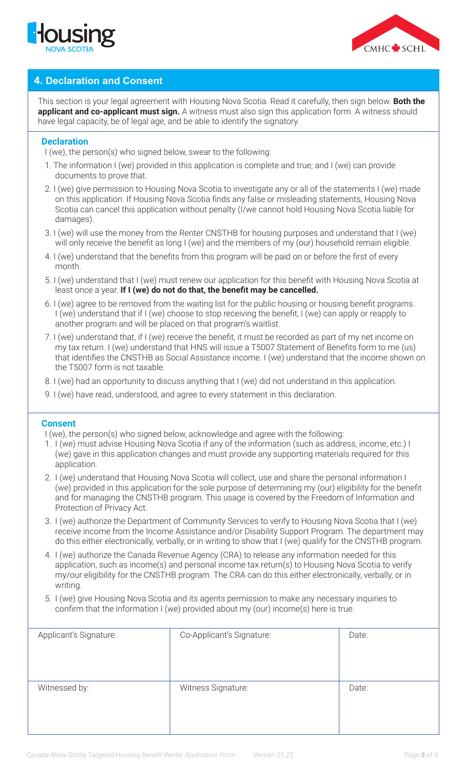



## **4. Declaration and Consent**

This section is your legal agreement with Housing Nova Scotia. Read it carefully, then sign below. **Both the applicant and co-applicant must sign.** A witness must also sign this application form. A witness should have legal capacity, be of legal age, and be able to identify the signatory.

#### **Declaration**

I (we), the person(s) who signed below, swear to the following:

- 1. The information I (we) provided in this application is complete and true; and I (we) can provide documents to prove that.
- 2. I (we) give permission to Housing Nova Scotia to investigate any or all of the statements I (we) made on this application. If Housing Nova Scotia finds any false or misleading statements, Housing Nova Scotia can cancel this application without penalty (I/we cannot hold Housing Nova Scotia liable for damages).
- 3. I (we) will use the money from the Renter CNSTHB for housing purposes and understand that I (we) will only receive the benefit as long I (we) and the members of my (our) household remain eligible.
- 4. I (we) understand that the benefits from this program will be paid on or before the first of every month.
- 5. I (we) understand that I (we) must renew our application for this benefit with Housing Nova Scotia at least once a year. **If I (we) do not do that, the benefit may be cancelled.**
- 6. I (we) agree to be removed from the waiting list for the public housing or housing benefit programs. I (we) understand that if I (we) choose to stop receiving the benefit, I (we) can apply or reapply to another program and will be placed on that program's waitlist.
- 7. I (we) understand that, if I (we) receive the benefit, it must be recorded as part of my net income on my tax return. I (we) understand that HNS will issue a T5007 Statement of Benefits form to me (us) that identifies the CNSTHB as Social Assistance income. I (we) understand that the income shown on the T5007 form is not taxable.
- 8. I (we) had an opportunity to discuss anything that I (we) did not understand in this application.
- 9. I (we) have read, understood, and agree to every statement in this declaration.

#### **Consent**

I (we), the person(s) who signed below, acknowledge and agree with the following:

- 1. I (we) must advise Housing Nova Scotia if any of the information (such as address, income, etc.) I (we) gave in this application changes and must provide any supporting materials required for this application.
- 2. I (we) understand that Housing Nova Scotia will collect, use and share the personal information I (we) provided in this application for the sole purpose of determining my (our) eligibility for the benefit and for managing the CNSTHB program. This usage is covered by the Freedom of Information and Protection of Privacy Act.
- 3. I (we) authorize the Department of Community Services to verify to Housing Nova Scotia that I (we) receive income from the Income Assistance and/or Disability Support Program. The department may do this either electronically, verbally, or in writing to show that I (we) qualify for the CNSTHB program.
- 4. I (we) authorize the Canada Revenue Agency (CRA) to release any information needed for this application, such as income(s) and personal income tax return(s) to Housing Nova Scotia to verify my/our eligibility for the CNSTHB program. The CRA can do this either electronically, verbally, or in writing.
- 5. I (we) give Housing Nova Scotia and its agents permission to make any necessary inquiries to confirm that the information I (we) provided about my (our) income(s) here is true.

| Applicant's Signature: | Co-Applicant's Signature: | Date: |
|------------------------|---------------------------|-------|
| Witnessed by:          | Witness Signature:        | Date: |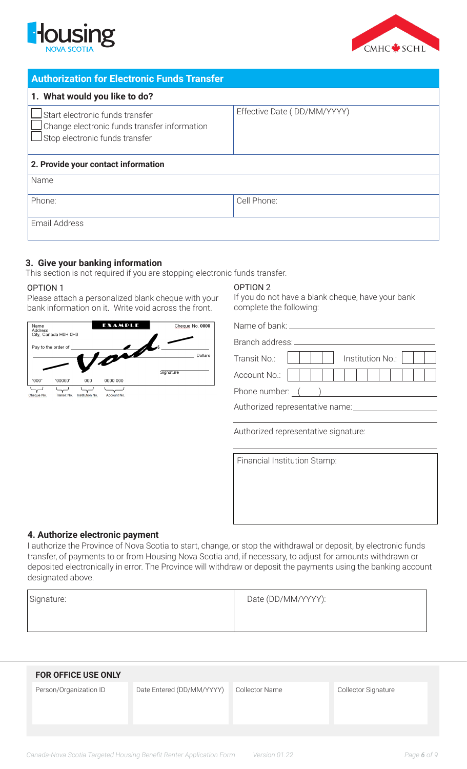



| <b>Authorization for Electronic Funds Transfer</b>                                                                |                             |  |  |
|-------------------------------------------------------------------------------------------------------------------|-----------------------------|--|--|
| 1. What would you like to do?                                                                                     |                             |  |  |
| Start electronic funds transfer<br>Change electronic funds transfer information<br>Stop electronic funds transfer | Effective Date (DD/MM/YYYY) |  |  |
| 2. Provide your contact information                                                                               |                             |  |  |
| Name                                                                                                              |                             |  |  |
| Phone:                                                                                                            | Cell Phone:                 |  |  |
| <b>Email Address</b>                                                                                              |                             |  |  |

### **3. Give your banking information**

This section is not required if you are stopping electronic funds transfer.

#### OPTION 1

Please attach a personalized blank cheque with your bank information on it. Write void across the front.



#### OPTION 2

If you do not have a blank cheque, have your bank complete the following:

Name of bank:

| Branch address: |                          |  |  |  |
|-----------------|--------------------------|--|--|--|
| Transit No.:    | Institution No.: $\vert$ |  |  |  |
| Account No.:    |                          |  |  |  |
| Phone number:   |                          |  |  |  |

Authorized representative name:

Authorized representative signature:

Financial Institution Stamp:

#### **4. Authorize electronic payment**

I authorize the Province of Nova Scotia to start, change, or stop the withdrawal or deposit, by electronic funds transfer, of payments to or from Housing Nova Scotia and, if necessary, to adjust for amounts withdrawn or deposited electronically in error. The Province will withdraw or deposit the payments using the banking account designated above.

| Signature: | Date (DD/MM/YYYY): |
|------------|--------------------|
|            |                    |

| Date Entered (DD/MM/YYYY)<br>Person/Organization ID<br><b>Collector Name</b><br>Collector Signature | <b>FOR OFFICE USE ONLY</b> |  |  |
|-----------------------------------------------------------------------------------------------------|----------------------------|--|--|
|                                                                                                     |                            |  |  |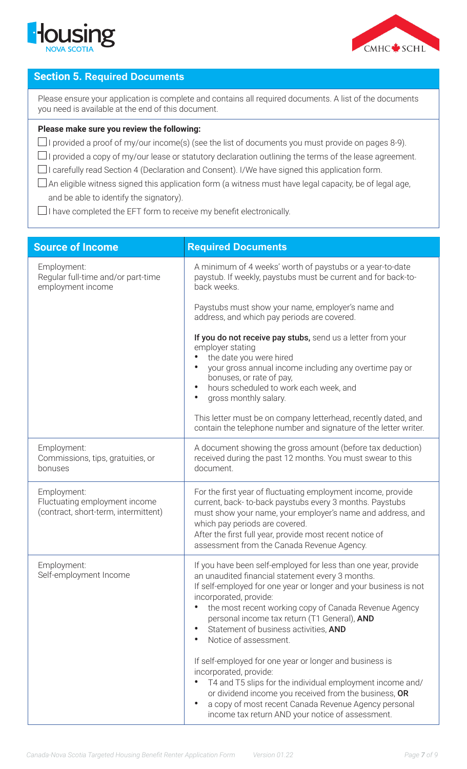



### **Section 5. Required Documents**

Please ensure your application is complete and contains all required documents. A list of the documents you need is available at the end of this document.

#### **Please make sure you review the following:**

- $\Box$  I provided a proof of my/our income(s) (see the list of documents you must provide on pages 8-9).
- $\Box$ I provided a copy of my/our lease or statutory declaration outlining the terms of the lease agreement.
- $\Box$ I carefully read Section 4 (Declaration and Consent). I/We have signed this application form.
- $\Box$  An eligible witness signed this application form (a witness must have legal capacity, be of legal age, and be able to identify the signatory).

 $\Box$  I have completed the EFT form to receive my benefit electronically.

| <b>Required Documents</b>                                                                                                                                                                                                                                                                                                                                                                                                                                                                                                                                                                                                                                                                |
|------------------------------------------------------------------------------------------------------------------------------------------------------------------------------------------------------------------------------------------------------------------------------------------------------------------------------------------------------------------------------------------------------------------------------------------------------------------------------------------------------------------------------------------------------------------------------------------------------------------------------------------------------------------------------------------|
| A minimum of 4 weeks' worth of paystubs or a year-to-date<br>paystub. If weekly, paystubs must be current and for back-to-<br>back weeks.                                                                                                                                                                                                                                                                                                                                                                                                                                                                                                                                                |
| Paystubs must show your name, employer's name and<br>address, and which pay periods are covered.                                                                                                                                                                                                                                                                                                                                                                                                                                                                                                                                                                                         |
| If you do not receive pay stubs, send us a letter from your<br>employer stating<br>the date you were hired<br>your gross annual income including any overtime pay or<br>bonuses, or rate of pay,<br>hours scheduled to work each week, and<br>$\bullet$<br>gross monthly salary.<br>$\bullet$                                                                                                                                                                                                                                                                                                                                                                                            |
| This letter must be on company letterhead, recently dated, and<br>contain the telephone number and signature of the letter writer.                                                                                                                                                                                                                                                                                                                                                                                                                                                                                                                                                       |
| A document showing the gross amount (before tax deduction)<br>received during the past 12 months. You must swear to this<br>document.                                                                                                                                                                                                                                                                                                                                                                                                                                                                                                                                                    |
| For the first year of fluctuating employment income, provide<br>current, back-to-back paystubs every 3 months. Paystubs<br>must show your name, your employer's name and address, and<br>which pay periods are covered.<br>After the first full year, provide most recent notice of<br>assessment from the Canada Revenue Agency.                                                                                                                                                                                                                                                                                                                                                        |
| If you have been self-employed for less than one year, provide<br>an unaudited financial statement every 3 months.<br>If self-employed for one year or longer and your business is not<br>incorporated, provide:<br>the most recent working copy of Canada Revenue Agency<br>$\bullet$<br>personal income tax return (T1 General), AND<br>Statement of business activities, AND<br>Notice of assessment.<br>$\bullet$<br>If self-employed for one year or longer and business is<br>incorporated, provide:<br>T4 and T5 slips for the individual employment income and/<br>or dividend income you received from the business, OR<br>a copy of most recent Canada Revenue Agency personal |
|                                                                                                                                                                                                                                                                                                                                                                                                                                                                                                                                                                                                                                                                                          |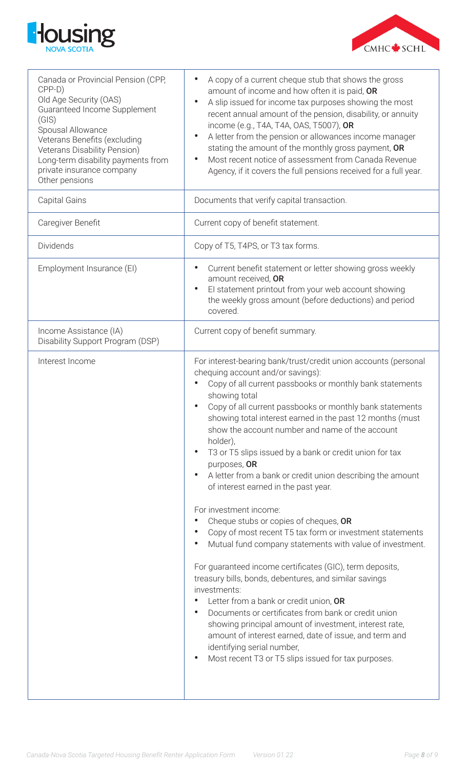



| Canada or Provincial Pension (CPP,<br>CPP-D)<br>Old Age Security (OAS)<br>Guaranteed Income Supplement<br>(GIS)<br>Spousal Allowance<br>Veterans Benefits (excluding<br><b>Veterans Disability Pension)</b><br>Long-term disability payments from<br>private insurance company<br>Other pensions | A copy of a current cheque stub that shows the gross<br>amount of income and how often it is paid, OR<br>A slip issued for income tax purposes showing the most<br>$\bullet$<br>recent annual amount of the pension, disability, or annuity<br>income (e.g., T4A, T4A, OAS, T5007), OR<br>A letter from the pension or allowances income manager<br>$\bullet$<br>stating the amount of the monthly gross payment, OR<br>Most recent notice of assessment from Canada Revenue<br>$\bullet$<br>Agency, if it covers the full pensions received for a full year.                                                                                                                                                                                                                                                                                                                                                                                                                                                                                                                                                                                                                                         |
|--------------------------------------------------------------------------------------------------------------------------------------------------------------------------------------------------------------------------------------------------------------------------------------------------|-------------------------------------------------------------------------------------------------------------------------------------------------------------------------------------------------------------------------------------------------------------------------------------------------------------------------------------------------------------------------------------------------------------------------------------------------------------------------------------------------------------------------------------------------------------------------------------------------------------------------------------------------------------------------------------------------------------------------------------------------------------------------------------------------------------------------------------------------------------------------------------------------------------------------------------------------------------------------------------------------------------------------------------------------------------------------------------------------------------------------------------------------------------------------------------------------------|
| <b>Capital Gains</b>                                                                                                                                                                                                                                                                             | Documents that verify capital transaction.                                                                                                                                                                                                                                                                                                                                                                                                                                                                                                                                                                                                                                                                                                                                                                                                                                                                                                                                                                                                                                                                                                                                                            |
| Caregiver Benefit                                                                                                                                                                                                                                                                                | Current copy of benefit statement.                                                                                                                                                                                                                                                                                                                                                                                                                                                                                                                                                                                                                                                                                                                                                                                                                                                                                                                                                                                                                                                                                                                                                                    |
| Dividends                                                                                                                                                                                                                                                                                        | Copy of T5, T4PS, or T3 tax forms.                                                                                                                                                                                                                                                                                                                                                                                                                                                                                                                                                                                                                                                                                                                                                                                                                                                                                                                                                                                                                                                                                                                                                                    |
| Employment Insurance (EI)                                                                                                                                                                                                                                                                        | Current benefit statement or letter showing gross weekly<br>amount received, OR<br>El statement printout from your web account showing<br>$\bullet$<br>the weekly gross amount (before deductions) and period<br>covered.                                                                                                                                                                                                                                                                                                                                                                                                                                                                                                                                                                                                                                                                                                                                                                                                                                                                                                                                                                             |
| Income Assistance (IA)<br>Disability Support Program (DSP)                                                                                                                                                                                                                                       | Current copy of benefit summary.                                                                                                                                                                                                                                                                                                                                                                                                                                                                                                                                                                                                                                                                                                                                                                                                                                                                                                                                                                                                                                                                                                                                                                      |
| Interest Income                                                                                                                                                                                                                                                                                  | For interest-bearing bank/trust/credit union accounts (personal<br>chequing account and/or savings):<br>Copy of all current passbooks or monthly bank statements<br>showing total<br>Copy of all current passbooks or monthly bank statements<br>showing total interest earned in the past 12 months (must<br>show the account number and name of the account<br>holder),<br>T3 or T5 slips issued by a bank or credit union for tax<br>purposes, OR<br>A letter from a bank or credit union describing the amount<br>of interest earned in the past year.<br>For investment income:<br>Cheque stubs or copies of cheques, OR<br>Copy of most recent T5 tax form or investment statements<br>Mutual fund company statements with value of investment.<br>For guaranteed income certificates (GIC), term deposits,<br>treasury bills, bonds, debentures, and similar savings<br>investments:<br>Letter from a bank or credit union, OR<br>Documents or certificates from bank or credit union<br>showing principal amount of investment, interest rate,<br>amount of interest earned, date of issue, and term and<br>identifying serial number,<br>Most recent T3 or T5 slips issued for tax purposes. |